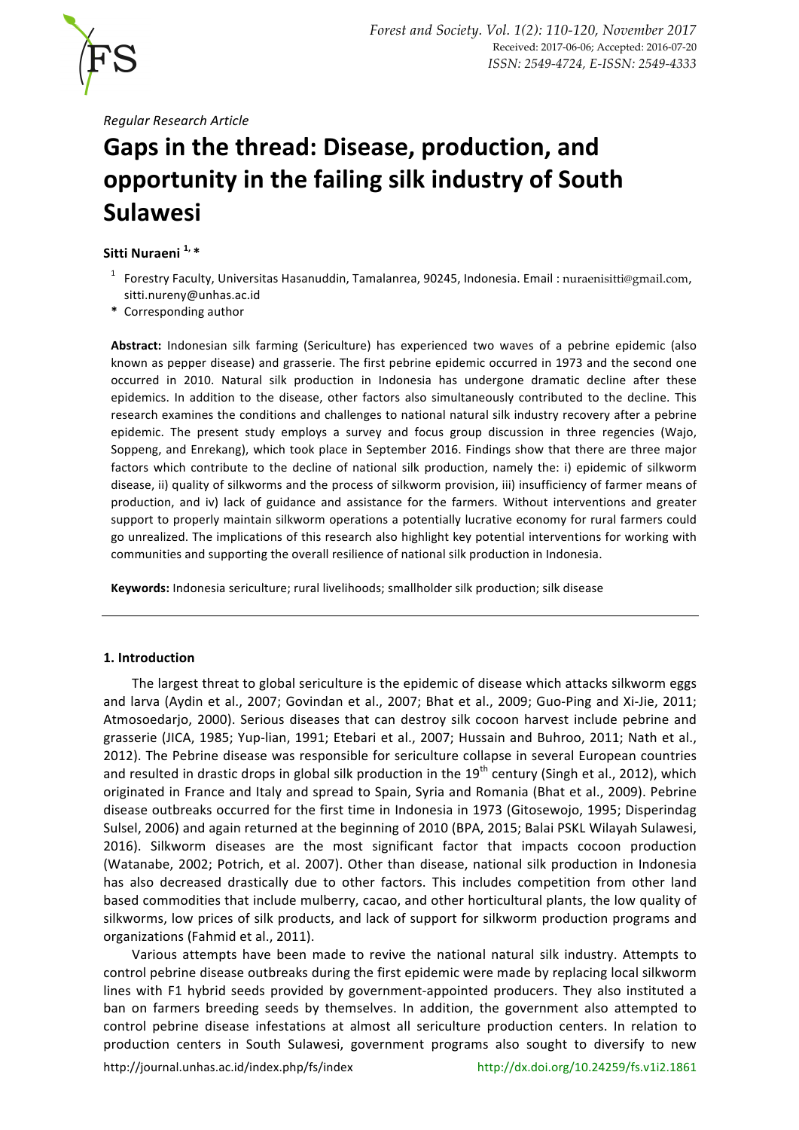

*Regular Research Article*

# Gaps in the thread: Disease, production, and **opportunity in the failing silk industry of South Sulawesi**

## Sitti Nuraeni<sup> 1,</sup>\*

- <sup>1</sup> Forestrv Facultv. Universitas Hasanuddin, Tamalanrea, 90245, Indonesia. Email : nuraenisitti@gmail.com, sitti.nureny@unhas.ac.id
- **\*** Corresponding author

Abstract: Indonesian silk farming (Sericulture) has experienced two waves of a pebrine epidemic (also known as pepper disease) and grasserie. The first pebrine epidemic occurred in 1973 and the second one occurred in 2010. Natural silk production in Indonesia has undergone dramatic decline after these epidemics. In addition to the disease, other factors also simultaneously contributed to the decline. This research examines the conditions and challenges to national natural silk industry recovery after a pebrine epidemic. The present study employs a survey and focus group discussion in three regencies (Wajo, Soppeng, and Enrekang), which took place in September 2016. Findings show that there are three major factors which contribute to the decline of national silk production, namely the: i) epidemic of silkworm disease, ii) quality of silkworms and the process of silkworm provision, iii) insufficiency of farmer means of production, and iv) lack of guidance and assistance for the farmers. Without interventions and greater support to properly maintain silkworm operations a potentially lucrative economy for rural farmers could go unrealized. The implications of this research also highlight key potential interventions for working with communities and supporting the overall resilience of national silk production in Indonesia.

Keywords: Indonesia sericulture; rural livelihoods; smallholder silk production; silk disease

## **1. Introduction**

The largest threat to global sericulture is the epidemic of disease which attacks silkworm eggs and larva (Aydin et al., 2007; Govindan et al., 2007; Bhat et al., 2009; Guo-Ping and Xi-Jie, 2011; Atmosoedarjo, 2000). Serious diseases that can destroy silk cocoon harvest include pebrine and grasserie (JICA, 1985; Yup-lian, 1991; Etebari et al., 2007; Hussain and Buhroo, 2011; Nath et al., 2012). The Pebrine disease was responsible for sericulture collapse in several European countries and resulted in drastic drops in global silk production in the  $19<sup>th</sup>$  century (Singh et al., 2012), which originated in France and Italy and spread to Spain, Syria and Romania (Bhat et al., 2009). Pebrine disease outbreaks occurred for the first time in Indonesia in 1973 (Gitosewojo, 1995; Disperindag Sulsel, 2006) and again returned at the beginning of 2010 (BPA, 2015; Balai PSKL Wilayah Sulawesi, 2016). Silkworm diseases are the most significant factor that impacts cocoon production (Watanabe, 2002; Potrich, et al. 2007). Other than disease, national silk production in Indonesia has also decreased drastically due to other factors. This includes competition from other land based commodities that include mulberry, cacao, and other horticultural plants, the low quality of silkworms, low prices of silk products, and lack of support for silkworm production programs and organizations (Fahmid et al., 2011).

Various attempts have been made to revive the national natural silk industry. Attempts to control pebrine disease outbreaks during the first epidemic were made by replacing local silkworm lines with F1 hybrid seeds provided by government-appointed producers. They also instituted a ban on farmers breeding seeds by themselves. In addition, the government also attempted to control pebrine disease infestations at almost all sericulture production centers. In relation to production centers in South Sulawesi, government programs also sought to diversify to new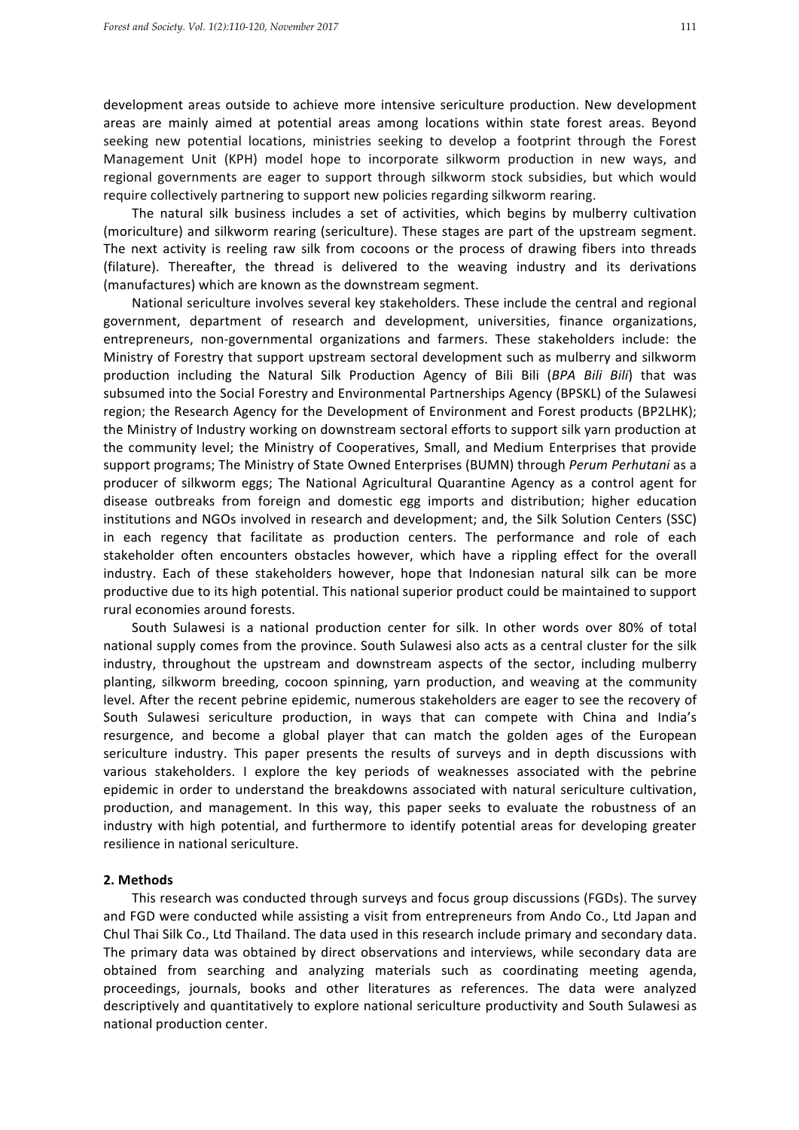development areas outside to achieve more intensive sericulture production. New development areas are mainly aimed at potential areas among locations within state forest areas. Beyond seeking new potential locations, ministries seeking to develop a footprint through the Forest Management Unit (KPH) model hope to incorporate silkworm production in new ways, and regional governments are eager to support through silkworm stock subsidies, but which would require collectively partnering to support new policies regarding silkworm rearing.

The natural silk business includes a set of activities, which begins by mulberry cultivation (moriculture) and silkworm rearing (sericulture). These stages are part of the upstream segment. The next activity is reeling raw silk from cocoons or the process of drawing fibers into threads (filature). Thereafter, the thread is delivered to the weaving industry and its derivations (manufactures) which are known as the downstream segment.

National sericulture involves several key stakeholders. These include the central and regional government, department of research and development, universities, finance organizations, entrepreneurs, non-governmental organizations and farmers. These stakeholders include: the Ministry of Forestry that support upstream sectoral development such as mulberry and silkworm production including the Natural Silk Production Agency of Bili Bili (BPA Bili Bili) that was subsumed into the Social Forestry and Environmental Partnerships Agency (BPSKL) of the Sulawesi region; the Research Agency for the Development of Environment and Forest products (BP2LHK); the Ministry of Industry working on downstream sectoral efforts to support silk yarn production at the community level; the Ministry of Cooperatives, Small, and Medium Enterprises that provide support programs; The Ministry of State Owned Enterprises (BUMN) through *Perum Perhutani* as a producer of silkworm eggs; The National Agricultural Quarantine Agency as a control agent for disease outbreaks from foreign and domestic egg imports and distribution; higher education institutions and NGOs involved in research and development; and, the Silk Solution Centers (SSC) in each regency that facilitate as production centers. The performance and role of each stakeholder often encounters obstacles however, which have a rippling effect for the overall industry. Each of these stakeholders however, hope that Indonesian natural silk can be more productive due to its high potential. This national superior product could be maintained to support rural economies around forests.

South Sulawesi is a national production center for silk. In other words over 80% of total national supply comes from the province. South Sulawesi also acts as a central cluster for the silk industry, throughout the upstream and downstream aspects of the sector, including mulberry planting, silkworm breeding, cocoon spinning, yarn production, and weaving at the community level. After the recent pebrine epidemic, numerous stakeholders are eager to see the recovery of South Sulawesi sericulture production, in ways that can compete with China and India's resurgence, and become a global player that can match the golden ages of the European sericulture industry. This paper presents the results of surveys and in depth discussions with various stakeholders. I explore the key periods of weaknesses associated with the pebrine epidemic in order to understand the breakdowns associated with natural sericulture cultivation, production, and management. In this way, this paper seeks to evaluate the robustness of an industry with high potential, and furthermore to identify potential areas for developing greater resilience in national sericulture.

#### **2. Methods**

This research was conducted through surveys and focus group discussions (FGDs). The survey and FGD were conducted while assisting a visit from entrepreneurs from Ando Co., Ltd Japan and Chul Thai Silk Co., Ltd Thailand. The data used in this research include primary and secondary data. The primary data was obtained by direct observations and interviews, while secondary data are obtained from searching and analyzing materials such as coordinating meeting agenda, proceedings, journals, books and other literatures as references. The data were analyzed descriptively and quantitatively to explore national sericulture productivity and South Sulawesi as national production center.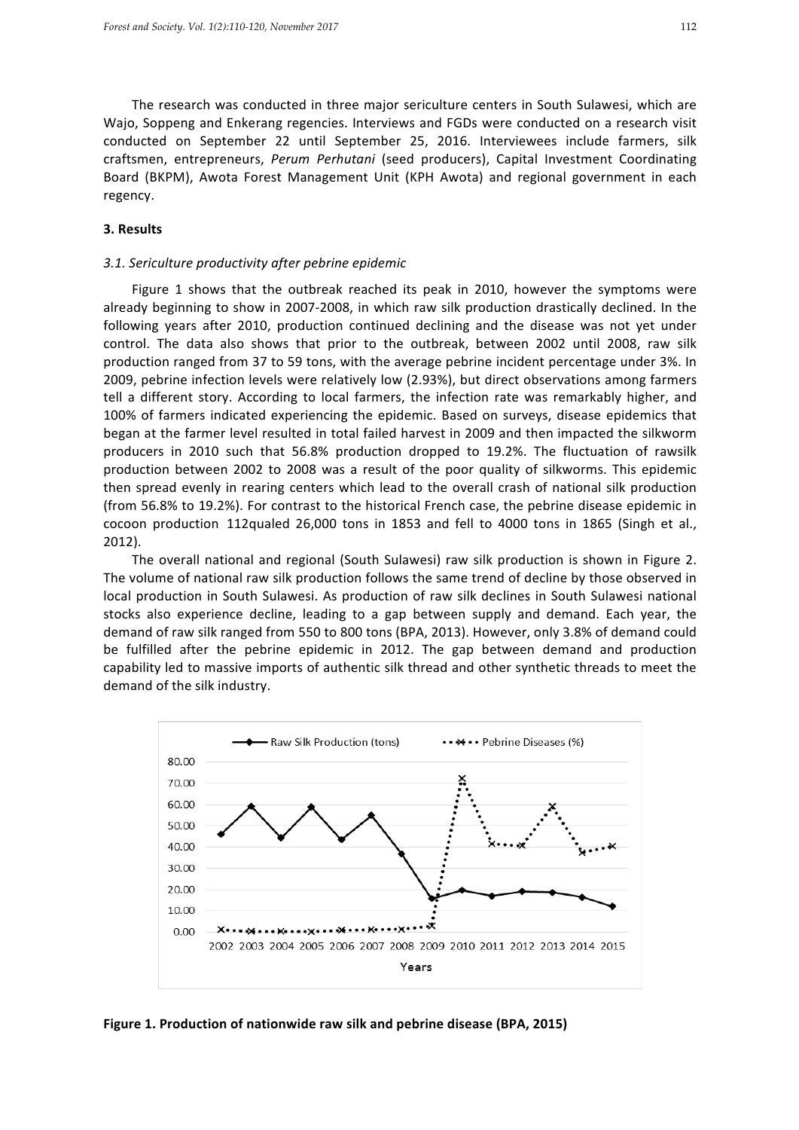The research was conducted in three major sericulture centers in South Sulawesi, which are Wajo, Soppeng and Enkerang regencies. Interviews and FGDs were conducted on a research visit conducted on September 22 until September 25, 2016. Interviewees include farmers, silk craftsmen, entrepreneurs, Perum Perhutani (seed producers), Capital Investment Coordinating Board (BKPM), Awota Forest Management Unit (KPH Awota) and regional government in each regency.

## **3. Results**

#### *3.1. Sericulture productivity after pebrine epidemic*

Figure 1 shows that the outbreak reached its peak in 2010, however the symptoms were already beginning to show in 2007-2008, in which raw silk production drastically declined. In the following years after 2010, production continued declining and the disease was not yet under control. The data also shows that prior to the outbreak, between 2002 until 2008, raw silk production ranged from 37 to 59 tons, with the average pebrine incident percentage under 3%. In 2009, pebrine infection levels were relatively low (2.93%), but direct observations among farmers tell a different story. According to local farmers, the infection rate was remarkably higher, and 100% of farmers indicated experiencing the epidemic. Based on surveys, disease epidemics that began at the farmer level resulted in total failed harvest in 2009 and then impacted the silkworm producers in 2010 such that 56.8% production dropped to 19.2%. The fluctuation of rawsilk production between 2002 to 2008 was a result of the poor quality of silkworms. This epidemic then spread evenly in rearing centers which lead to the overall crash of national silk production (from 56.8% to 19.2%). For contrast to the historical French case, the pebrine disease epidemic in cocoon production 112qualed 26,000 tons in 1853 and fell to 4000 tons in 1865 (Singh et al., 2012).

The overall national and regional (South Sulawesi) raw silk production is shown in Figure 2. The volume of national raw silk production follows the same trend of decline by those observed in local production in South Sulawesi. As production of raw silk declines in South Sulawesi national stocks also experience decline, leading to a gap between supply and demand. Each year, the demand of raw silk ranged from 550 to 800 tons (BPA, 2013). However, only 3.8% of demand could be fulfilled after the pebrine epidemic in 2012. The gap between demand and production capability led to massive imports of authentic silk thread and other synthetic threads to meet the demand of the silk industry.



**Figure 1. Production of nationwide raw silk and pebrine disease (BPA, 2015)**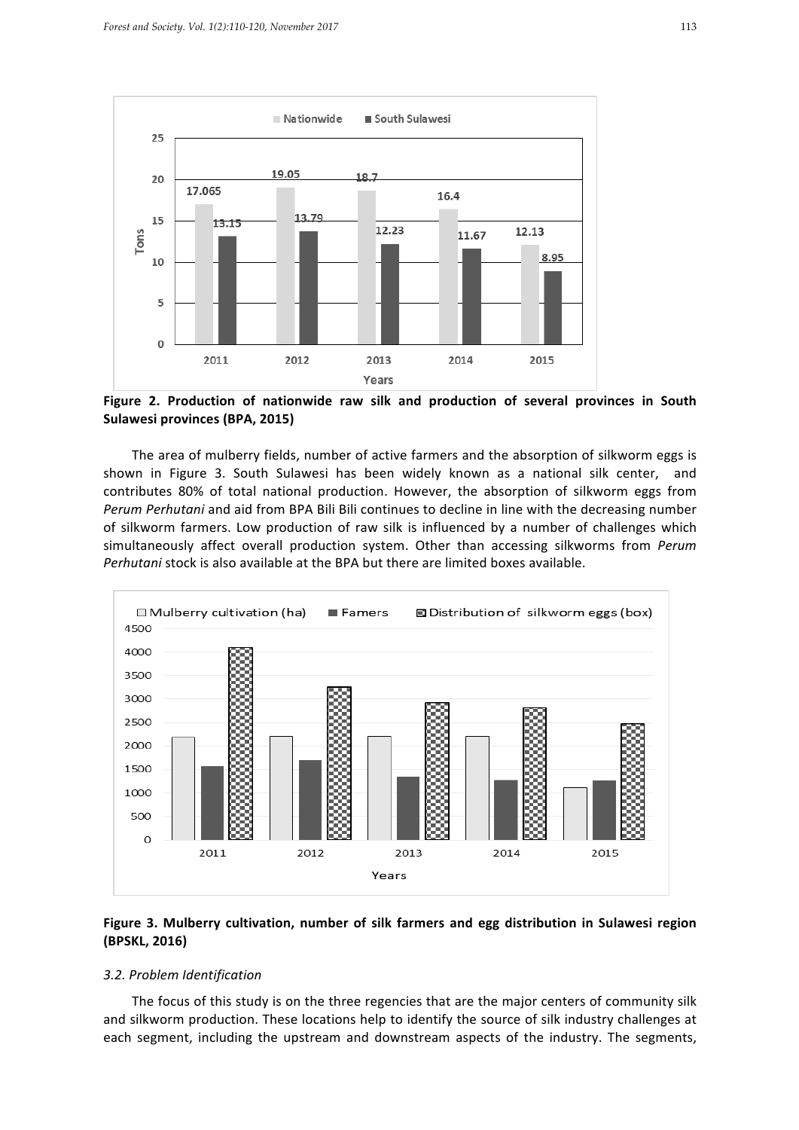

Figure 2. Production of nationwide raw silk and production of several provinces in South **Sulawesi provinces (BPA, 2015)** 

The area of mulberry fields, number of active farmers and the absorption of silkworm eggs is shown in Figure 3. South Sulawesi has been widely known as a national silk center, and contributes 80% of total national production. However, the absorption of silkworm eggs from Perum Perhutani and aid from BPA Bili Bili continues to decline in line with the decreasing number of silkworm farmers. Low production of raw silk is influenced by a number of challenges which simultaneously affect overall production system. Other than accessing silkworms from *Perum Perhutani* stock is also available at the BPA but there are limited boxes available.



# Figure 3. Mulberry cultivation, number of silk farmers and egg distribution in Sulawesi region **(BPSKL, 2016)**

#### *3.2. Problem Identification*

The focus of this study is on the three regencies that are the major centers of community silk and silkworm production. These locations help to identify the source of silk industry challenges at each segment, including the upstream and downstream aspects of the industry. The segments,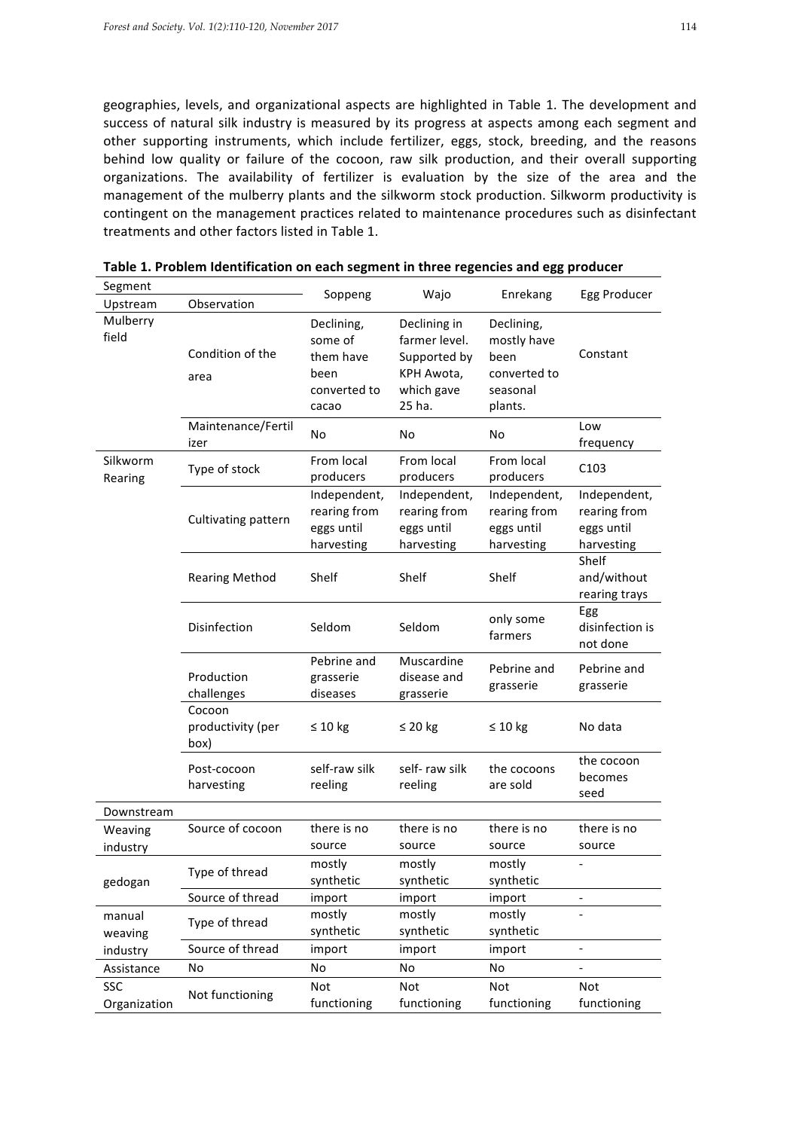geographies, levels, and organizational aspects are highlighted in Table 1. The development and success of natural silk industry is measured by its progress at aspects among each segment and other supporting instruments, which include fertilizer, eggs, stock, breeding, and the reasons behind low quality or failure of the cocoon, raw silk production, and their overall supporting organizations. The availability of fertilizer is evaluation by the size of the area and the management of the mulberry plants and the silkworm stock production. Silkworm productivity is contingent on the management practices related to maintenance procedures such as disinfectant treatments and other factors listed in Table 1.

| Segment             |                                     |                                                                     |                                                                                     | Enrekang                                                                 | Egg Producer                                             |
|---------------------|-------------------------------------|---------------------------------------------------------------------|-------------------------------------------------------------------------------------|--------------------------------------------------------------------------|----------------------------------------------------------|
| Upstream            | Observation                         | Soppeng                                                             | Wajo                                                                                |                                                                          |                                                          |
| Mulberry<br>field   | Condition of the<br>area            | Declining,<br>some of<br>them have<br>been<br>converted to<br>cacao | Declining in<br>farmer level.<br>Supported by<br>KPH Awota,<br>which gave<br>25 ha. | Declining,<br>mostly have<br>been<br>converted to<br>seasonal<br>plants. | Constant                                                 |
|                     | Maintenance/Fertil<br>izer          | No                                                                  | No                                                                                  | No                                                                       | Low<br>frequency                                         |
| Silkworm<br>Rearing | Type of stock                       | From local<br>producers                                             | From local<br>producers                                                             | From local<br>producers                                                  | C <sub>103</sub>                                         |
|                     | Cultivating pattern                 | Independent,<br>rearing from<br>eggs until<br>harvesting            | Independent,<br>rearing from<br>eggs until<br>harvesting                            | Independent,<br>rearing from<br>eggs until<br>harvesting                 | Independent,<br>rearing from<br>eggs until<br>harvesting |
|                     | <b>Rearing Method</b>               | Shelf                                                               | Shelf                                                                               | Shelf                                                                    | Shelf<br>and/without<br>rearing trays                    |
|                     | Disinfection                        | Seldom                                                              | Seldom                                                                              | only some<br>farmers                                                     | Egg<br>disinfection is<br>not done                       |
|                     | Production<br>challenges            | Pebrine and<br>grasserie<br>diseases                                | Muscardine<br>disease and<br>grasserie                                              | Pebrine and<br>grasserie                                                 | Pebrine and<br>grasserie                                 |
|                     | Cocoon<br>productivity (per<br>box) | $\leq 10$ kg                                                        | $\leq 20$ kg                                                                        | $\leq 10$ kg                                                             | No data                                                  |
|                     | Post-cocoon<br>harvesting           | self-raw silk<br>reeling                                            | self-raw silk<br>reeling                                                            | the cocoons<br>are sold                                                  | the cocoon<br>becomes<br>seed                            |
| Downstream          |                                     |                                                                     |                                                                                     |                                                                          |                                                          |
| Weaving<br>industry | Source of cocoon                    | there is no<br>source                                               | there is no<br>source                                                               | there is no<br>source                                                    | there is no<br>source                                    |
| gedogan             | Type of thread                      | mostly<br>synthetic                                                 | mostly<br>synthetic                                                                 | mostly<br>synthetic                                                      |                                                          |
|                     | Source of thread                    | import                                                              | import                                                                              | import                                                                   |                                                          |
| manual<br>weaving   | Type of thread                      | mostly<br>synthetic                                                 | mostly<br>synthetic                                                                 | mostly<br>synthetic                                                      |                                                          |
| industry            | Source of thread                    | import                                                              | import                                                                              | import                                                                   |                                                          |
| Assistance          | No                                  | No                                                                  | No                                                                                  | No                                                                       |                                                          |
| SSC<br>Organization | Not functioning                     | Not<br>functioning                                                  | Not<br>functioning                                                                  | Not<br>functioning                                                       | Not<br>functioning                                       |

Table 1. Problem Identification on each segment in three regencies and egg producer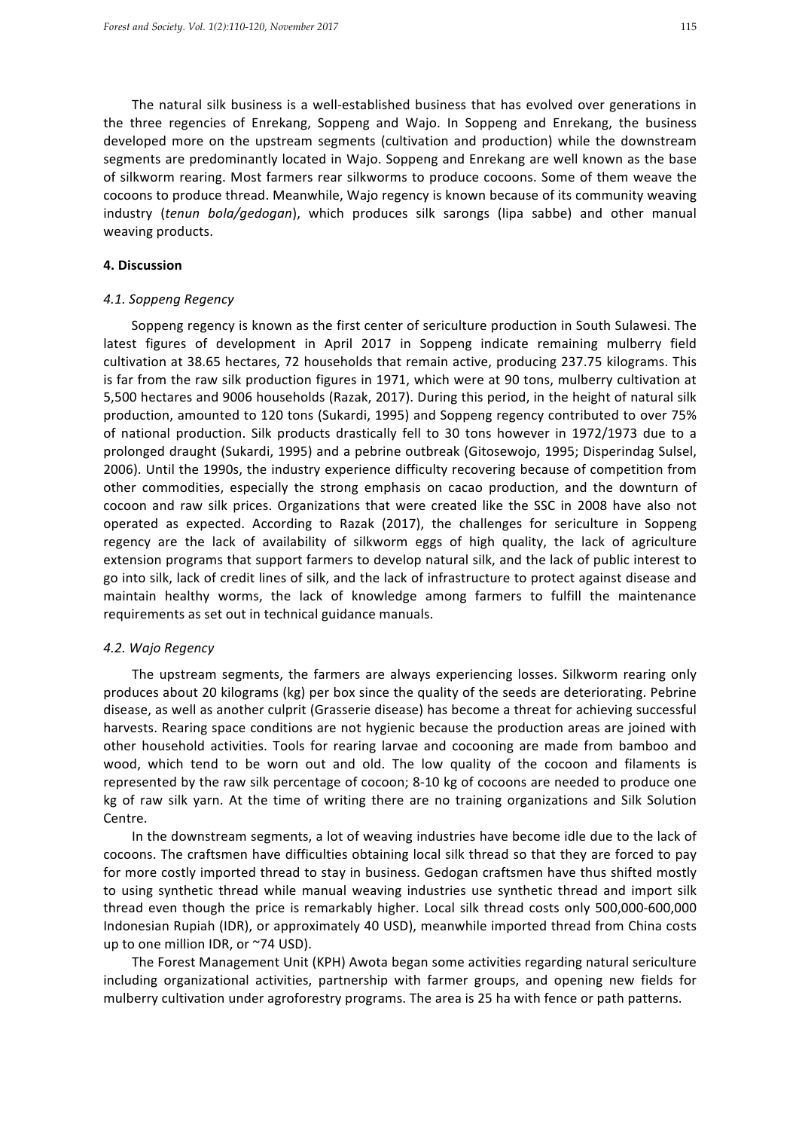The natural silk business is a well-established business that has evolved over generations in the three regencies of Enrekang, Soppeng and Wajo. In Soppeng and Enrekang, the business developed more on the upstream segments (cultivation and production) while the downstream segments are predominantly located in Wajo. Soppeng and Enrekang are well known as the base of silkworm rearing. Most farmers rear silkworms to produce cocoons. Some of them weave the cocoons to produce thread. Meanwhile, Wajo regency is known because of its community weaving industry (*tenun bola/gedogan*), which produces silk sarongs (lipa sabbe) and other manual weaving products.

#### **4. Discussion**

### *4.1. Soppeng Regency*

Soppeng regency is known as the first center of sericulture production in South Sulawesi. The latest figures of development in April 2017 in Soppeng indicate remaining mulberry field cultivation at 38.65 hectares, 72 households that remain active, producing 237.75 kilograms. This is far from the raw silk production figures in 1971, which were at 90 tons, mulberry cultivation at 5,500 hectares and 9006 households (Razak, 2017). During this period, in the height of natural silk production, amounted to 120 tons (Sukardi, 1995) and Soppeng regency contributed to over 75% of national production. Silk products drastically fell to 30 tons however in 1972/1973 due to a prolonged draught (Sukardi, 1995) and a pebrine outbreak (Gitosewojo, 1995; Disperindag Sulsel, 2006). Until the 1990s, the industry experience difficulty recovering because of competition from other commodities, especially the strong emphasis on cacao production, and the downturn of cocoon and raw silk prices. Organizations that were created like the SSC in 2008 have also not operated as expected. According to Razak (2017), the challenges for sericulture in Soppeng regency are the lack of availability of silkworm eggs of high quality, the lack of agriculture extension programs that support farmers to develop natural silk, and the lack of public interest to go into silk, lack of credit lines of silk, and the lack of infrastructure to protect against disease and maintain healthy worms, the lack of knowledge among farmers to fulfill the maintenance requirements as set out in technical guidance manuals.

#### *4.2. Wajo Regency*

The upstream segments, the farmers are always experiencing losses. Silkworm rearing only produces about 20 kilograms (kg) per box since the quality of the seeds are deteriorating. Pebrine disease, as well as another culprit (Grasserie disease) has become a threat for achieving successful harvests. Rearing space conditions are not hygienic because the production areas are joined with other household activities. Tools for rearing larvae and cocooning are made from bamboo and wood, which tend to be worn out and old. The low quality of the cocoon and filaments is represented by the raw silk percentage of cocoon; 8-10 kg of cocoons are needed to produce one kg of raw silk yarn. At the time of writing there are no training organizations and Silk Solution Centre.

In the downstream segments, a lot of weaving industries have become idle due to the lack of cocoons. The craftsmen have difficulties obtaining local silk thread so that they are forced to pay for more costly imported thread to stay in business. Gedogan craftsmen have thus shifted mostly to using synthetic thread while manual weaving industries use synthetic thread and import silk thread even though the price is remarkably higher. Local silk thread costs only 500,000-600,000 Indonesian Rupiah (IDR), or approximately 40 USD), meanwhile imported thread from China costs up to one million IDR, or ~74 USD).

The Forest Management Unit (KPH) Awota began some activities regarding natural sericulture including organizational activities, partnership with farmer groups, and opening new fields for mulberry cultivation under agroforestry programs. The area is 25 ha with fence or path patterns.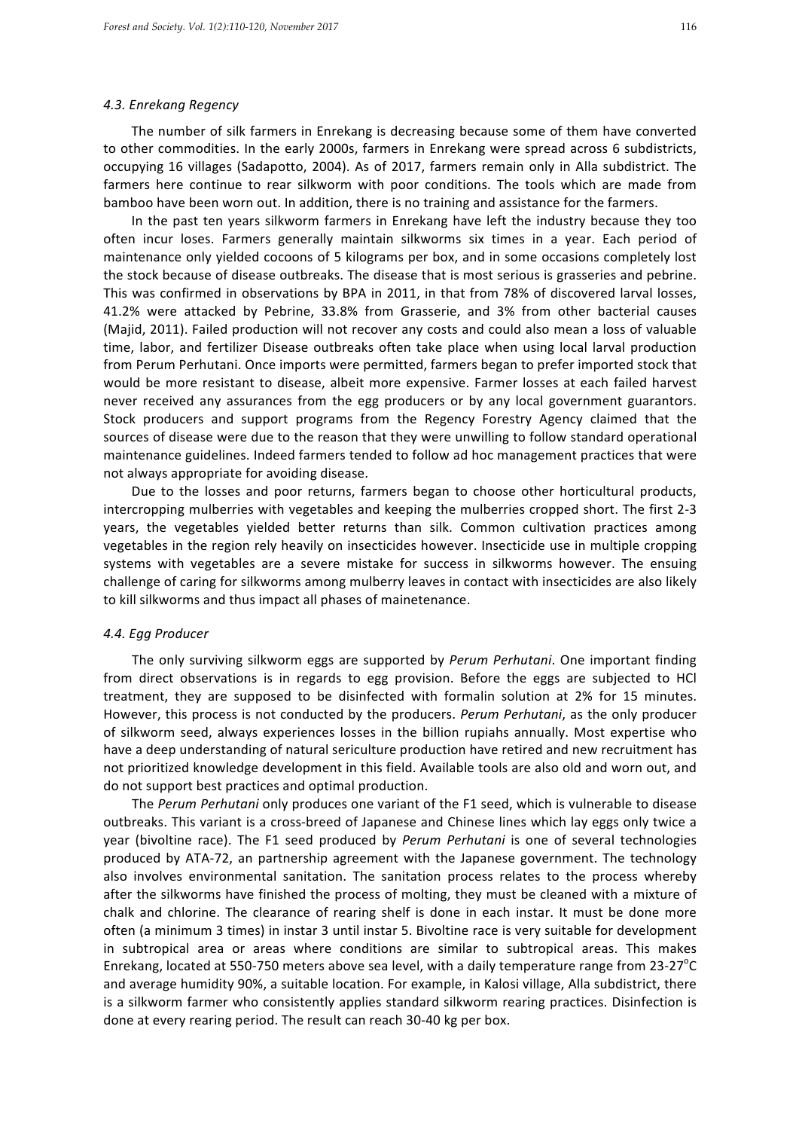#### *4.3. Enrekang Regency*

The number of silk farmers in Enrekang is decreasing because some of them have converted to other commodities. In the early 2000s, farmers in Enrekang were spread across 6 subdistricts, occupying 16 villages (Sadapotto, 2004). As of 2017, farmers remain only in Alla subdistrict. The farmers here continue to rear silkworm with poor conditions. The tools which are made from bamboo have been worn out. In addition, there is no training and assistance for the farmers.

In the past ten years silkworm farmers in Enrekang have left the industry because they too often incur loses. Farmers generally maintain silkworms six times in a year. Each period of maintenance only yielded cocoons of 5 kilograms per box, and in some occasions completely lost the stock because of disease outbreaks. The disease that is most serious is grasseries and pebrine. This was confirmed in observations by BPA in 2011, in that from 78% of discovered larval losses, 41.2% were attacked by Pebrine, 33.8% from Grasserie, and 3% from other bacterial causes (Majid, 2011). Failed production will not recover any costs and could also mean a loss of valuable time, labor, and fertilizer Disease outbreaks often take place when using local larval production from Perum Perhutani. Once imports were permitted, farmers began to prefer imported stock that would be more resistant to disease, albeit more expensive. Farmer losses at each failed harvest never received any assurances from the egg producers or by any local government guarantors. Stock producers and support programs from the Regency Forestry Agency claimed that the sources of disease were due to the reason that they were unwilling to follow standard operational maintenance guidelines. Indeed farmers tended to follow ad hoc management practices that were not always appropriate for avoiding disease.

Due to the losses and poor returns, farmers began to choose other horticultural products, intercropping mulberries with vegetables and keeping the mulberries cropped short. The first 2-3 years, the vegetables yielded better returns than silk. Common cultivation practices among vegetables in the region rely heavily on insecticides however. Insecticide use in multiple cropping systems with vegetables are a severe mistake for success in silkworms however. The ensuing challenge of caring for silkworms among mulberry leaves in contact with insecticides are also likely to kill silkworms and thus impact all phases of mainetenance.

#### *4.4. Egg Producer*

The only surviving silkworm eggs are supported by *Perum Perhutani*. One important finding from direct observations is in regards to egg provision. Before the eggs are subjected to HCl treatment, they are supposed to be disinfected with formalin solution at 2% for 15 minutes. However, this process is not conducted by the producers. *Perum Perhutani*, as the only producer of silkworm seed, always experiences losses in the billion rupiahs annually. Most expertise who have a deep understanding of natural sericulture production have retired and new recruitment has not prioritized knowledge development in this field. Available tools are also old and worn out, and do not support best practices and optimal production.

The *Perum Perhutani* only produces one variant of the F1 seed, which is vulnerable to disease outbreaks. This variant is a cross-breed of Japanese and Chinese lines which lay eggs only twice a year (bivoltine race). The F1 seed produced by *Perum Perhutani* is one of several technologies produced by ATA-72, an partnership agreement with the Japanese government. The technology also involves environmental sanitation. The sanitation process relates to the process whereby after the silkworms have finished the process of molting, they must be cleaned with a mixture of chalk and chlorine. The clearance of rearing shelf is done in each instar. It must be done more often (a minimum 3 times) in instar 3 until instar 5. Bivoltine race is very suitable for development in subtropical area or areas where conditions are similar to subtropical areas. This makes Enrekang, located at 550-750 meters above sea level, with a daily temperature range from 23-27 $^{\circ}$ C and average humidity 90%, a suitable location. For example, in Kalosi village, Alla subdistrict, there is a silkworm farmer who consistently applies standard silkworm rearing practices. Disinfection is done at every rearing period. The result can reach 30-40 kg per box.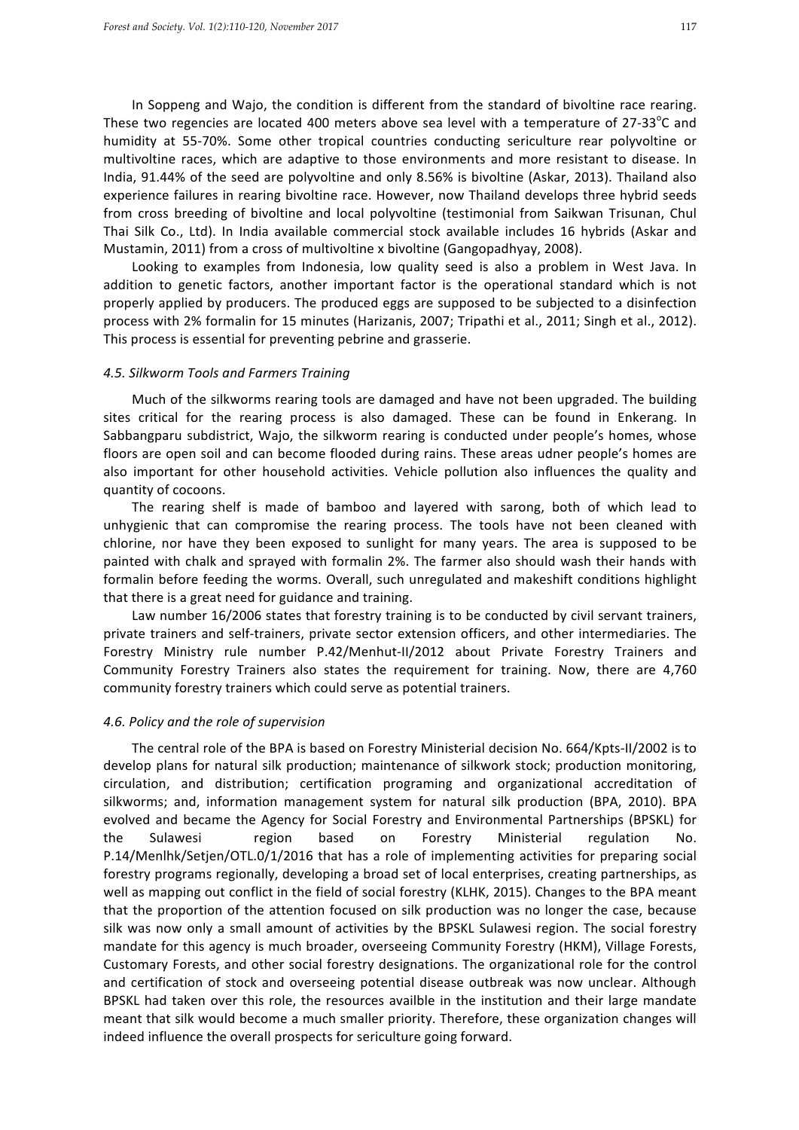In Soppeng and Wajo, the condition is different from the standard of bivoltine race rearing. These two regencies are located 400 meters above sea level with a temperature of 27-33 $^{\circ}$ C and humidity at 55-70%. Some other tropical countries conducting sericulture rear polyvoltine or multivoltine races, which are adaptive to those environments and more resistant to disease. In India, 91.44% of the seed are polyvoltine and only 8.56% is bivoltine (Askar, 2013). Thailand also experience failures in rearing bivoltine race. However, now Thailand develops three hybrid seeds from cross breeding of bivoltine and local polyvoltine (testimonial from Saikwan Trisunan, Chul Thai Silk Co., Ltd). In India available commercial stock available includes 16 hybrids (Askar and Mustamin, 2011) from a cross of multivoltine x bivoltine (Gangopadhyay, 2008).

Looking to examples from Indonesia, low quality seed is also a problem in West Java. In addition to genetic factors, another important factor is the operational standard which is not properly applied by producers. The produced eggs are supposed to be subjected to a disinfection process with 2% formalin for 15 minutes (Harizanis, 2007; Tripathi et al., 2011; Singh et al., 2012). This process is essential for preventing pebrine and grasserie.

#### *4.5. Silkworm Tools and Farmers Training*

Much of the silkworms rearing tools are damaged and have not been upgraded. The building sites critical for the rearing process is also damaged. These can be found in Enkerang. In Sabbangparu subdistrict, Wajo, the silkworm rearing is conducted under people's homes, whose floors are open soil and can become flooded during rains. These areas udner people's homes are also important for other household activities. Vehicle pollution also influences the quality and quantity of cocoons.

The rearing shelf is made of bamboo and layered with sarong, both of which lead to unhygienic that can compromise the rearing process. The tools have not been cleaned with chlorine, nor have they been exposed to sunlight for many years. The area is supposed to be painted with chalk and sprayed with formalin 2%. The farmer also should wash their hands with formalin before feeding the worms. Overall, such unregulated and makeshift conditions highlight that there is a great need for guidance and training.

Law number 16/2006 states that forestry training is to be conducted by civil servant trainers, private trainers and self-trainers, private sector extension officers, and other intermediaries. The Forestry Ministry rule number P.42/Menhut-II/2012 about Private Forestry Trainers and Community Forestry Trainers also states the requirement for training. Now, there are 4,760 community forestry trainers which could serve as potential trainers.

#### *4.6. Policy and the role of supervision*

The central role of the BPA is based on Forestry Ministerial decision No. 664/Kpts-II/2002 is to develop plans for natural silk production; maintenance of silkwork stock; production monitoring, circulation, and distribution; certification programing and organizational accreditation of silkworms; and, information management system for natural silk production (BPA, 2010). BPA evolved and became the Agency for Social Forestry and Environmental Partnerships (BPSKL) for the Sulawesi region based on Forestry Ministerial regulation No. P.14/Menlhk/Setjen/OTL.0/1/2016 that has a role of implementing activities for preparing social forestry programs regionally, developing a broad set of local enterprises, creating partnerships, as well as mapping out conflict in the field of social forestry (KLHK, 2015). Changes to the BPA meant that the proportion of the attention focused on silk production was no longer the case, because silk was now only a small amount of activities by the BPSKL Sulawesi region. The social forestry mandate for this agency is much broader, overseeing Community Forestry (HKM), Village Forests, Customary Forests, and other social forestry designations. The organizational role for the control and certification of stock and overseeing potential disease outbreak was now unclear. Although BPSKL had taken over this role, the resources availble in the institution and their large mandate meant that silk would become a much smaller priority. Therefore, these organization changes will indeed influence the overall prospects for sericulture going forward.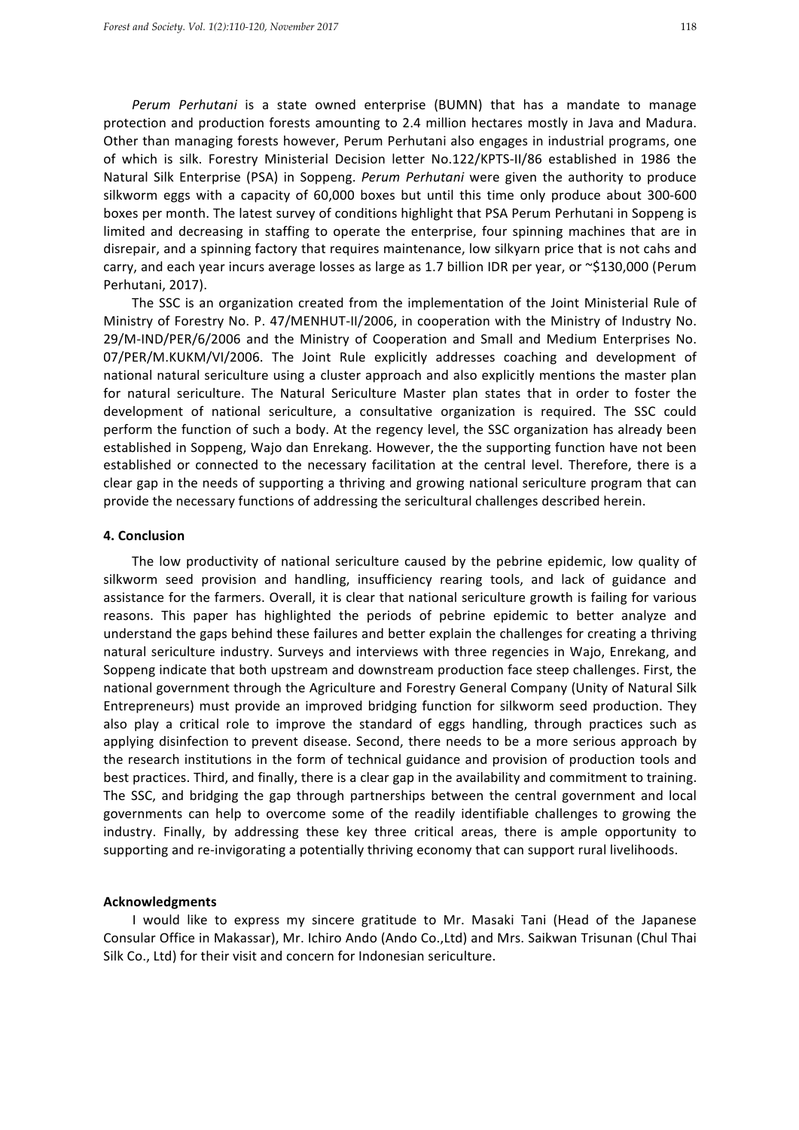*Perum Perhutani* is a state owned enterprise (BUMN) that has a mandate to manage protection and production forests amounting to 2.4 million hectares mostly in Java and Madura. Other than managing forests however, Perum Perhutani also engages in industrial programs, one of which is silk. Forestry Ministerial Decision letter No.122/KPTS-II/86 established in 1986 the Natural Silk Enterprise (PSA) in Soppeng. *Perum Perhutani* were given the authority to produce silkworm eggs with a capacity of 60,000 boxes but until this time only produce about 300-600 boxes per month. The latest survey of conditions highlight that PSA Perum Perhutani in Soppeng is limited and decreasing in staffing to operate the enterprise, four spinning machines that are in disrepair, and a spinning factory that requires maintenance, low silkyarn price that is not cahs and carry, and each year incurs average losses as large as 1.7 billion IDR per year, or ~\$130,000 (Perum Perhutani, 2017).

The SSC is an organization created from the implementation of the Joint Ministerial Rule of Ministry of Forestry No. P. 47/MENHUT-II/2006, in cooperation with the Ministry of Industry No. 29/M-IND/PER/6/2006 and the Ministry of Cooperation and Small and Medium Enterprises No. 07/PER/M.KUKM/VI/2006. The Joint Rule explicitly addresses coaching and development of national natural sericulture using a cluster approach and also explicitly mentions the master plan for natural sericulture. The Natural Sericulture Master plan states that in order to foster the development of national sericulture, a consultative organization is required. The SSC could perform the function of such a body. At the regency level, the SSC organization has already been established in Soppeng, Wajo dan Enrekang. However, the the supporting function have not been established or connected to the necessary facilitation at the central level. Therefore, there is a clear gap in the needs of supporting a thriving and growing national sericulture program that can provide the necessary functions of addressing the sericultural challenges described herein.

#### **4. Conclusion**

The low productivity of national sericulture caused by the pebrine epidemic, low quality of silkworm seed provision and handling, insufficiency rearing tools, and lack of guidance and assistance for the farmers. Overall, it is clear that national sericulture growth is failing for various reasons. This paper has highlighted the periods of pebrine epidemic to better analyze and understand the gaps behind these failures and better explain the challenges for creating a thriving natural sericulture industry. Surveys and interviews with three regencies in Wajo, Enrekang, and Soppeng indicate that both upstream and downstream production face steep challenges. First, the national government through the Agriculture and Forestry General Company (Unity of Natural Silk Entrepreneurs) must provide an improved bridging function for silkworm seed production. They also play a critical role to improve the standard of eggs handling, through practices such as applying disinfection to prevent disease. Second, there needs to be a more serious approach by the research institutions in the form of technical guidance and provision of production tools and best practices. Third, and finally, there is a clear gap in the availability and commitment to training. The SSC, and bridging the gap through partnerships between the central government and local governments can help to overcome some of the readily identifiable challenges to growing the industry. Finally, by addressing these key three critical areas, there is ample opportunity to supporting and re-invigorating a potentially thriving economy that can support rural livelihoods.

#### **Acknowledgments**

I would like to express my sincere gratitude to Mr. Masaki Tani (Head of the Japanese Consular Office in Makassar), Mr. Ichiro Ando (Ando Co.,Ltd) and Mrs. Saikwan Trisunan (Chul Thai Silk Co., Ltd) for their visit and concern for Indonesian sericulture.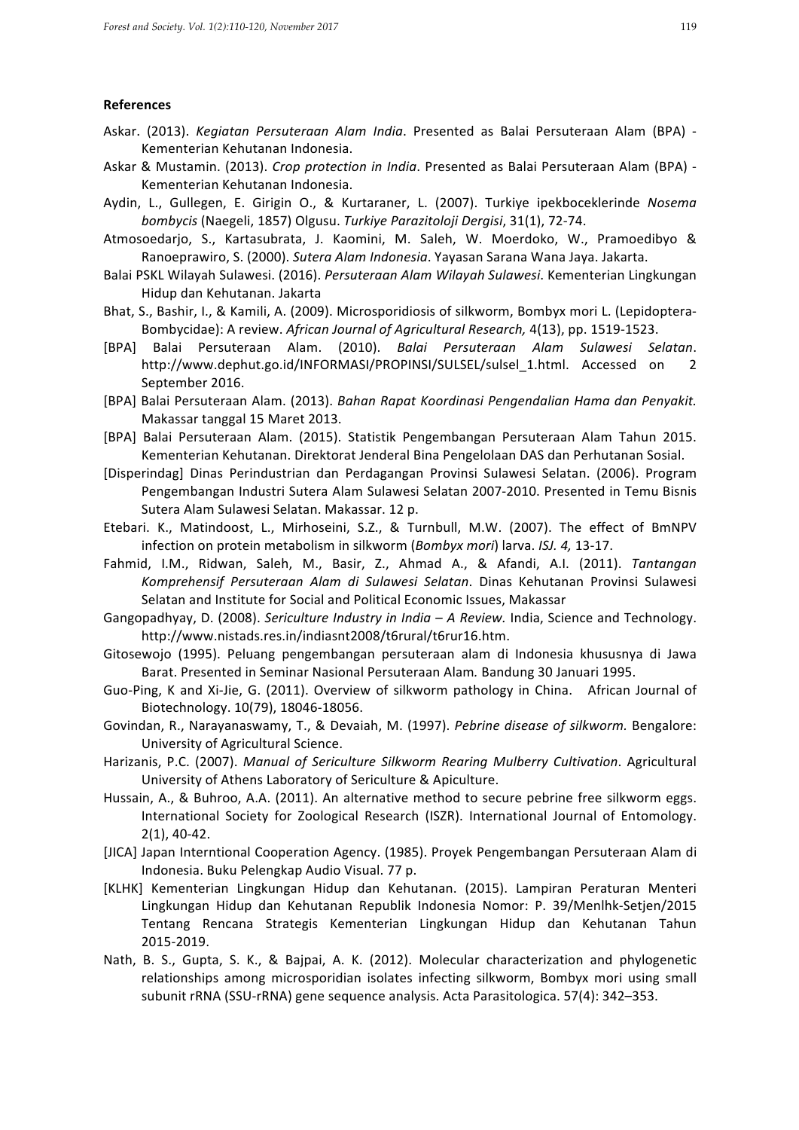#### **References**

- Askar. (2013). *Kegiatan Persuteraan Alam India*. Presented as Balai Persuteraan Alam (BPA) -Kementerian Kehutanan Indonesia.
- Askar & Mustamin. (2013). *Crop protection in India*. Presented as Balai Persuteraan Alam (BPA) -Kementerian Kehutanan Indonesia.
- Aydin, L., Gullegen, E. Girigin O., & Kurtaraner, L. (2007). Turkiye ipekboceklerinde Nosema *bombycis* (Naegeli, 1857) Olgusu. *Turkiye Parazitoloji Dergisi*, 31(1), 72-74.
- Atmosoedarjo, S., Kartasubrata, J. Kaomini, M. Saleh, W. Moerdoko, W., Pramoedibyo & Ranoeprawiro, S. (2000). *Sutera Alam Indonesia*. Yayasan Sarana Wana Jaya. Jakarta.
- Balai PSKL Wilayah Sulawesi. (2016). *Persuteraan Alam Wilayah Sulawesi*. Kementerian Lingkungan Hidup dan Kehutanan. Jakarta
- Bhat, S., Bashir, I., & Kamili, A. (2009). Microsporidiosis of silkworm, Bombyx mori L. (Lepidoptera-Bombycidae): A review. African Journal of Agricultural Research, 4(13), pp. 1519-1523.
- [BPA] Balai Persuteraan Alam. (2010). Balai Persuteraan Alam Sulawesi Selatan. http://www.dephut.go.id/INFORMASI/PROPINSI/SULSEL/sulsel\_1.html. Accessed on 2 September 2016.
- [BPA] Balai Persuteraan Alam. (2013). *Bahan Rapat Koordinasi Pengendalian Hama dan Penyakit.* Makassar tanggal 15 Maret 2013.
- [BPA] Balai Persuteraan Alam. (2015). Statistik Pengembangan Persuteraan Alam Tahun 2015. Kementerian Kehutanan. Direktorat Jenderal Bina Pengelolaan DAS dan Perhutanan Sosial.
- [Disperindag] Dinas Perindustrian dan Perdagangan Provinsi Sulawesi Selatan. (2006). Program Pengembangan Industri Sutera Alam Sulawesi Selatan 2007-2010. Presented in Temu Bisnis Sutera Alam Sulawesi Selatan. Makassar. 12 p.
- Etebari. K., Matindoost, L., Mirhoseini, S.Z., & Turnbull, M.W. (2007). The effect of BmNPV infection on protein metabolism in silkworm (*Bombyx mori*) larva. *ISJ. 4,* 13-17.
- Fahmid, I.M., Ridwan, Saleh, M., Basir, Z., Ahmad A., & Afandi, A.I. (2011). *Tantangan* Komprehensif Persuteraan Alam di Sulawesi Selatan. Dinas Kehutanan Provinsi Sulawesi Selatan and Institute for Social and Political Economic Issues, Makassar
- Gangopadhyay, D. (2008). *Sericulture Industry in India A Review*. India, Science and Technology. http://www.nistads.res.in/indiasnt2008/t6rural/t6rur16.htm.
- Gitosewojo (1995). Peluang pengembangan persuteraan alam di Indonesia khususnya di Jawa Barat. Presented in Seminar Nasional Persuteraan Alam. Bandung 30 Januari 1995.
- Guo-Ping, K and Xi-Jie, G. (2011). Overview of silkworm pathology in China. African Journal of Biotechnology. 10(79), 18046-18056.
- Govindan, R., Narayanaswamy, T., & Devaiah, M. (1997). Pebrine disease of silkworm. Bengalore: University of Agricultural Science.
- Harizanis, P.C. (2007). *Manual of Sericulture Silkworm Rearing Mulberry Cultivation*. Agricultural University of Athens Laboratory of Sericulture & Apiculture.
- Hussain, A., & Buhroo, A.A. (2011). An alternative method to secure pebrine free silkworm eggs. International Society for Zoological Research (ISZR). International Journal of Entomology. 2(1), 40-42.
- [JICA] Japan Interntional Cooperation Agency. (1985). Proyek Pengembangan Persuteraan Alam di Indonesia. Buku Pelengkap Audio Visual. 77 p.
- [KLHK] Kementerian Lingkungan Hidup dan Kehutanan. (2015). Lampiran Peraturan Menteri Lingkungan Hidup dan Kehutanan Republik Indonesia Nomor: P. 39/Menlhk-Setjen/2015 Tentang Rencana Strategis Kementerian Lingkungan Hidup dan Kehutanan Tahun 2015-2019.
- Nath, B. S., Gupta, S. K., & Bajpai, A. K. (2012). Molecular characterization and phylogenetic relationships among microsporidian isolates infecting silkworm, Bombyx mori using small subunit rRNA (SSU-rRNA) gene sequence analysis. Acta Parasitologica. 57(4): 342–353.